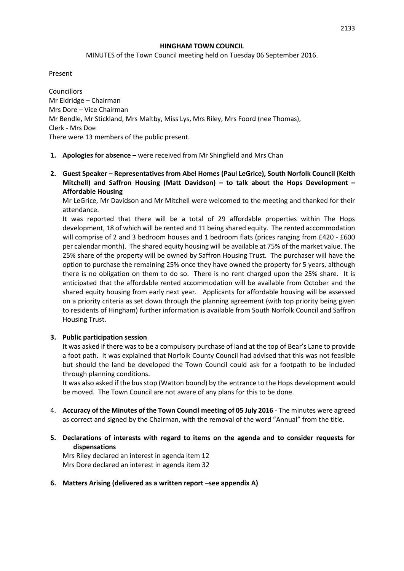#### **HINGHAM TOWN COUNCIL**

MINUTES of the Town Council meeting held on Tuesday 06 September 2016.

Present

**Councillors** Mr Eldridge – Chairman Mrs Dore – Vice Chairman Mr Bendle, Mr Stickland, Mrs Maltby, Miss Lys, Mrs Riley, Mrs Foord (nee Thomas), Clerk - Mrs Doe There were 13 members of the public present.

- **1. Apologies for absence –** were received from Mr Shingfield and Mrs Chan
- **2. Guest Speaker – Representatives from Abel Homes (Paul LeGrice), South Norfolk Council (Keith Mitchell) and Saffron Housing (Matt Davidson) – to talk about the Hops Development – Affordable Housing**

Mr LeGrice, Mr Davidson and Mr Mitchell were welcomed to the meeting and thanked for their attendance.

It was reported that there will be a total of 29 affordable properties within The Hops development, 18 of which will be rented and 11 being shared equity. The rented accommodation will comprise of 2 and 3 bedroom houses and 1 bedroom flats (prices ranging from £420 - £600 per calendar month). The shared equity housing will be available at 75% of the market value. The 25% share of the property will be owned by Saffron Housing Trust. The purchaser will have the option to purchase the remaining 25% once they have owned the property for 5 years, although there is no obligation on them to do so. There is no rent charged upon the 25% share. It is anticipated that the affordable rented accommodation will be available from October and the shared equity housing from early next year. Applicants for affordable housing will be assessed on a priority criteria as set down through the planning agreement (with top priority being given to residents of Hingham) further information is available from South Norfolk Council and Saffron Housing Trust.

#### **3. Public participation session**

It was asked if there was to be a compulsory purchase of land at the top of Bear's Lane to provide a foot path. It was explained that Norfolk County Council had advised that this was not feasible but should the land be developed the Town Council could ask for a footpath to be included through planning conditions.

It was also asked if the bus stop (Watton bound) by the entrance to the Hops development would be moved. The Town Council are not aware of any plans for this to be done.

- 4. **Accuracy of the Minutes of the Town Council meeting of 05 July 2016** The minutes were agreed as correct and signed by the Chairman, with the removal of the word "Annual" from the title.
- **5. Declarations of interests with regard to items on the agenda and to consider requests for dispensations**

Mrs Riley declared an interest in agenda item 12 Mrs Dore declared an interest in agenda item 32

**6. Matters Arising (delivered as a written report –see appendix A)**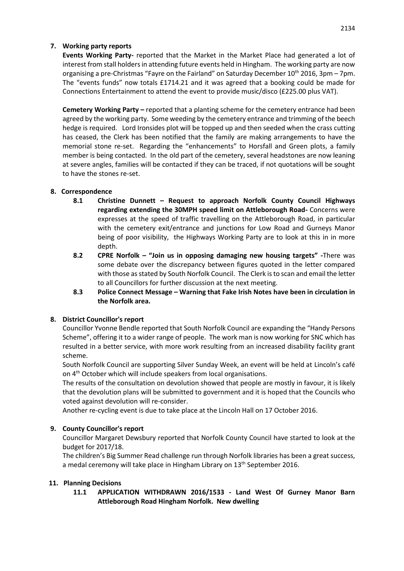# **7. Working party reports**

**Events Working Party-** reported that the Market in the Market Place had generated a lot of interest from stall holders in attending future events held in Hingham. The working party are now organising a pre-Christmas "Fayre on the Fairland" on Saturday December 10th 2016, 3pm – 7pm. The "events funds" now totals £1714.21 and it was agreed that a booking could be made for Connections Entertainment to attend the event to provide music/disco (£225.00 plus VAT).

**Cemetery Working Party –** reported that a planting scheme for the cemetery entrance had been agreed by the working party. Some weeding by the cemetery entrance and trimming of the beech hedge is required. Lord Ironsides plot will be topped up and then seeded when the crass cutting has ceased, the Clerk has been notified that the family are making arrangements to have the memorial stone re-set. Regarding the "enhancements" to Horsfall and Green plots, a family member is being contacted. In the old part of the cemetery, several headstones are now leaning at severe angles, families will be contacted if they can be traced, if not quotations will be sought to have the stones re-set.

# **8. Correspondence**

- **8.1 Christine Dunnett – Request to approach Norfolk County Council Highways regarding extending the 30MPH speed limit on Attleborough Road-** Concerns were expresses at the speed of traffic travelling on the Attleborough Road, in particular with the cemetery exit/entrance and junctions for Low Road and Gurneys Manor being of poor visibility, the Highways Working Party are to look at this in in more depth.
- **8.2 CPRE Norfolk – "Join us in opposing damaging new housing targets" -**There was some debate over the discrepancy between figures quoted in the letter compared with those as stated by South Norfolk Council. The Clerk is to scan and email the letter to all Councillors for further discussion at the next meeting.
- **8.3 Police Connect Message – Warning that Fake Irish Notes have been in circulation in the Norfolk area.**

# **8. District Councillor's report**

Councillor Yvonne Bendle reported that South Norfolk Council are expanding the "Handy Persons Scheme", offering it to a wider range of people. The work man is now working for SNC which has resulted in a better service, with more work resulting from an increased disability facility grant scheme.

South Norfolk Council are supporting Silver Sunday Week, an event will be held at Lincoln's café on 4<sup>th</sup> October which will include speakers from local organisations.

The results of the consultation on devolution showed that people are mostly in favour, it is likely that the devolution plans will be submitted to government and it is hoped that the Councils who voted against devolution will re-consider.

Another re-cycling event is due to take place at the Lincoln Hall on 17 October 2016.

# **9. County Councillor's report**

Councillor Margaret Dewsbury reported that Norfolk County Council have started to look at the budget for 2017/18.

The children's Big Summer Read challenge run through Norfolk libraries has been a great success, a medal ceremony will take place in Hingham Library on 13<sup>th</sup> September 2016.

# **11. Planning Decisions**

**11.1 APPLICATION WITHDRAWN 2016/1533 - Land West Of Gurney Manor Barn Attleborough Road Hingham Norfolk. New dwelling**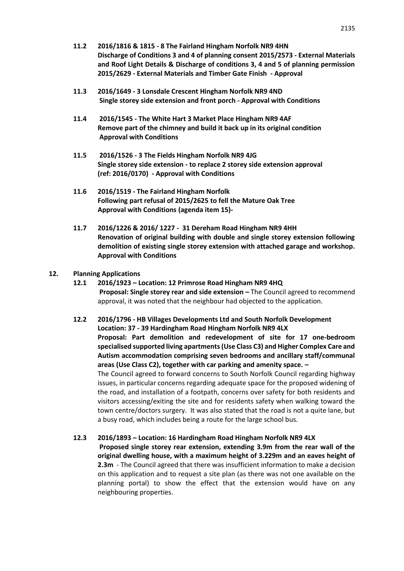- **11.2 2016/1816 & 1815 - 8 The Fairland Hingham Norfolk NR9 4HN Discharge of Conditions 3 and 4 of planning consent 2015/2573 - External Materials and Roof Light Details & Discharge of conditions 3, 4 and 5 of planning permission 2015/2629 - External Materials and Timber Gate Finish - Approval**
- **11.3 2016/1649 - 3 Lonsdale Crescent Hingham Norfolk NR9 4ND Single storey side extension and front porch - Approval with Conditions**
- **11.4 2016/1545 - The White Hart 3 Market Place Hingham NR9 4AF Remove part of the chimney and build it back up in its original condition Approval with Conditions**
- **11.5 2016/1526 - 3 The Fields Hingham Norfolk NR9 4JG Single storey side extension - to replace 2 storey side extension approval (ref: 2016/0170) - Approval with Conditions**
- **11.6 2016/1519 - The Fairland Hingham Norfolk Following part refusal of 2015/2625 to fell the Mature Oak Tree Approval with Conditions (agenda item 15)-**
- **11.7 2016/1226 & 2016/ 1227 31 Dereham Road Hingham NR9 4HH Renovation of original building with double and single storey extension following demolition of existing single storey extension with attached garage and workshop. Approval with Conditions**

#### **12. Planning Applications**

- **12.1 2016/1923 – Location: 12 Primrose Road Hingham NR9 4HQ Proposal: Single storey rear and side extension –** The Council agreed to recommend approval, it was noted that the neighbour had objected to the application.
- **12.2 2016/1796 - HB Villages Developments Ltd and South Norfolk Development Location: 37 - 39 Hardingham Road Hingham Norfolk NR9 4LX Proposal: Part demolition and redevelopment of site for 17 one-bedroom specialised supported living apartments (Use Class C3) and Higher Complex Care and Autism accommodation comprising seven bedrooms and ancillary staff/communal areas (Use Class C2), together with car parking and amenity space. –** The Council agreed to forward concerns to South Norfolk Council regarding highway issues, in particular concerns regarding adequate space for the proposed widening of the road, and installation of a footpath, concerns over safety for both residents and visitors accessing/exiting the site and for residents safety when walking toward the town centre/doctors surgery. It was also stated that the road is not a quite lane, but

a busy road, which includes being a route for the large school bus.

#### **12.3 2016/1893 – Location: 16 Hardingham Road Hingham Norfolk NR9 4LX**

**Proposed single storey rear extension, extending 3.9m from the rear wall of the original dwelling house, with a maximum height of 3.229m and an eaves height of 2.3m** - The Council agreed that there was insufficient information to make a decision on this application and to request a site plan (as there was not one available on the planning portal) to show the effect that the extension would have on any neighbouring properties.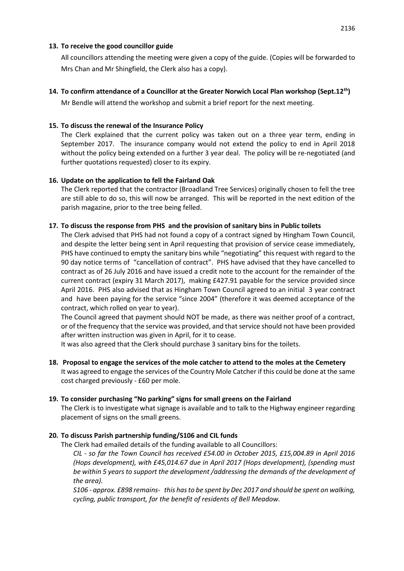## **13. To receive the good councillor guide**

All councillors attending the meeting were given a copy of the guide. (Copies will be forwarded to Mrs Chan and Mr Shingfield, the Clerk also has a copy).

## **14. To confirm attendance of a Councillor at the Greater Norwich Local Plan workshop (Sept.12th)**

Mr Bendle will attend the workshop and submit a brief report for the next meeting.

## **15. To discuss the renewal of the Insurance Policy**

The Clerk explained that the current policy was taken out on a three year term, ending in September 2017. The insurance company would not extend the policy to end in April 2018 without the policy being extended on a further 3 year deal. The policy will be re-negotiated (and further quotations requested) closer to its expiry.

## **16. Update on the application to fell the Fairland Oak**

The Clerk reported that the contractor (Broadland Tree Services) originally chosen to fell the tree are still able to do so, this will now be arranged. This will be reported in the next edition of the parish magazine, prior to the tree being felled.

## **17. To discuss the response from PHS and the provision of sanitary bins in Public toilets**

The Clerk advised that PHS had not found a copy of a contract signed by Hingham Town Council, and despite the letter being sent in April requesting that provision of service cease immediately, PHS have continued to empty the sanitary bins while "negotiating" this request with regard to the 90 day notice terms of "cancellation of contract". PHS have advised that they have cancelled to contract as of 26 July 2016 and have issued a credit note to the account for the remainder of the current contract (expiry 31 March 2017), making £427.91 payable for the service provided since April 2016. PHS also advised that as Hingham Town Council agreed to an initial 3 year contract and have been paying for the service "since 2004" (therefore it was deemed acceptance of the contract, which rolled on year to year).

The Council agreed that payment should NOT be made, as there was neither proof of a contract, or of the frequency that the service was provided, and that service should not have been provided after written instruction was given in April, for it to cease.

It was also agreed that the Clerk should purchase 3 sanitary bins for the toilets.

**18. Proposal to engage the services of the mole catcher to attend to the moles at the Cemetery** It was agreed to engage the services of the Country Mole Catcher if this could be done at the same cost charged previously - £60 per mole.

#### **19. To consider purchasing "No parking" signs for small greens on the Fairland**

The Clerk is to investigate what signage is available and to talk to the Highway engineer regarding placement of signs on the small greens.

# **20. To discuss Parish partnership funding/S106 and CIL funds**

The Clerk had emailed details of the funding available to all Councillors:

*CIL - so far the Town Council has received £54.00 in October 2015, £15,004.89 in April 2016 (Hops development), with £45,014.67 due in April 2017 (Hops development), (spending must be within 5 years to support the development /addressing the demands of the development of the area).*

*S106 - approx. £898 remains- this has to be spent by Dec 2017 and should be spent on walking, cycling, public transport, for the benefit of residents of Bell Meadow.*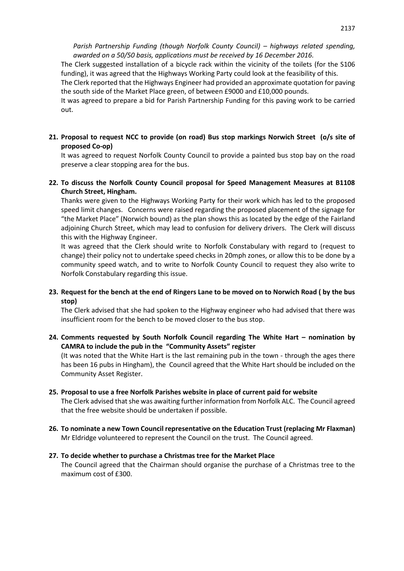The Clerk suggested installation of a bicycle rack within the vicinity of the toilets (for the S106 funding), it was agreed that the Highways Working Party could look at the feasibility of this.

The Clerk reported that the Highways Engineer had provided an approximate quotation for paving the south side of the Market Place green, of between £9000 and £10,000 pounds.

It was agreed to prepare a bid for Parish Partnership Funding for this paving work to be carried out.

**21. Proposal to request NCC to provide (on road) Bus stop markings Norwich Street (o/s site of proposed Co-op)**

It was agreed to request Norfolk County Council to provide a painted bus stop bay on the road preserve a clear stopping area for the bus.

**22. To discuss the Norfolk County Council proposal for Speed Management Measures at B1108 Church Street, Hingham.**

Thanks were given to the Highways Working Party for their work which has led to the proposed speed limit changes. Concerns were raised regarding the proposed placement of the signage for "the Market Place" (Norwich bound) as the plan shows this as located by the edge of the Fairland adjoining Church Street, which may lead to confusion for delivery drivers. The Clerk will discuss this with the Highway Engineer.

It was agreed that the Clerk should write to Norfolk Constabulary with regard to (request to change) their policy not to undertake speed checks in 20mph zones, or allow this to be done by a community speed watch, and to write to Norfolk County Council to request they also write to Norfolk Constabulary regarding this issue.

**23. Request for the bench at the end of Ringers Lane to be moved on to Norwich Road ( by the bus stop)**

The Clerk advised that she had spoken to the Highway engineer who had advised that there was insufficient room for the bench to be moved closer to the bus stop.

**24. Comments requested by South Norfolk Council regarding The White Hart – nomination by CAMRA to include the pub in the "Community Assets" register**

(It was noted that the White Hart is the last remaining pub in the town - through the ages there has been 16 pubs in Hingham), the Council agreed that the White Hart should be included on the Community Asset Register.

**25. Proposal to use a free Norfolk Parishes website in place of current paid for website**

The Clerk advised that she was awaiting further information from Norfolk ALC. The Council agreed that the free website should be undertaken if possible.

**26. To nominate a new Town Council representative on the Education Trust (replacing Mr Flaxman)** Mr Eldridge volunteered to represent the Council on the trust. The Council agreed.

#### **27. To decide whether to purchase a Christmas tree for the Market Place**

The Council agreed that the Chairman should organise the purchase of a Christmas tree to the maximum cost of £300.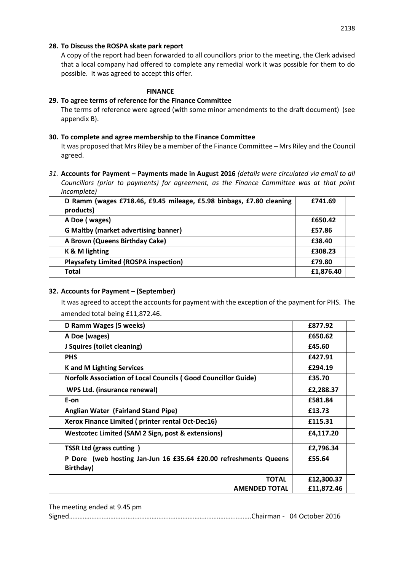### **28. To Discuss the ROSPA skate park report**

A copy of the report had been forwarded to all councillors prior to the meeting, the Clerk advised that a local company had offered to complete any remedial work it was possible for them to do possible. It was agreed to accept this offer.

#### **FINANCE**

## **29. To agree terms of reference for the Finance Committee**

The terms of reference were agreed (with some minor amendments to the draft document) (see appendix B).

### **30. To complete and agree membership to the Finance Committee**

It was proposed that Mrs Riley be a member of the Finance Committee – Mrs Riley and the Council agreed.

*31.* **Accounts for Payment – Payments made in August 2016** *(details were circulated via email to all Councillors (prior to payments) for agreement, as the Finance Committee was at that point incomplete)*

| D Ramm (wages £718.46, £9.45 mileage, £5.98 binbags, £7.80 cleaning<br>products) | £741.69   |  |
|----------------------------------------------------------------------------------|-----------|--|
| A Doe (wages)                                                                    | £650.42   |  |
| <b>G Maltby (market advertising banner)</b>                                      | £57.86    |  |
| A Brown (Queens Birthday Cake)                                                   | £38.40    |  |
| K & M lighting                                                                   | £308.23   |  |
| <b>Playsafety Limited (ROSPA inspection)</b>                                     | £79.80    |  |
| Total                                                                            | £1,876.40 |  |

# **32. Accounts for Payment – (September)**

It was agreed to accept the accounts for payment with the exception of the payment for PHS. The amended total being £11,872.46.

| D Ramm Wages (5 weeks)                                                        | £877.92               |
|-------------------------------------------------------------------------------|-----------------------|
| A Doe (wages)                                                                 | £650.62               |
| J Squires (toilet cleaning)                                                   | £45.60                |
| <b>PHS</b>                                                                    | £427.91               |
| <b>K</b> and M Lighting Services                                              | £294.19               |
| <b>Norfolk Association of Local Councils (Good Councillor Guide)</b>          | £35.70                |
| WPS Ltd. (insurance renewal)                                                  | £2,288.37             |
| E-on                                                                          | £581.84               |
| Anglian Water (Fairland Stand Pipe)                                           | £13.73                |
| Xerox Finance Limited (printer rental Oct-Dec16)                              | £115.31               |
| Westcotec Limited (SAM 2 Sign, post & extensions)                             | £4,117.20             |
| <b>TSSR Ltd (grass cutting)</b>                                               | £2,796.34             |
| P Dore (web hosting Jan-Jun 16 £35.64 £20.00 refreshments Queens<br>Birthday) | £55.64                |
| <b>TOTAL</b>                                                                  | <del>£12.300.37</del> |
| <b>AMENDED TOTAL</b>                                                          | £11,872.46            |

The meeting ended at 9.45 pm

Signed…………………………………………………………………………………………….Chairman - 04 October 2016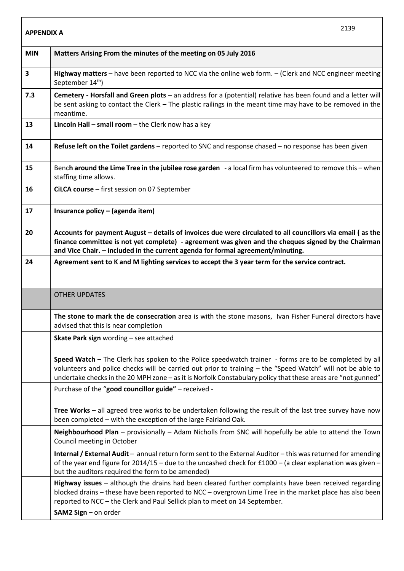| <b>APPENDIX A</b> | 2139                                                                                                                                                                                                                                                                                                                                 |
|-------------------|--------------------------------------------------------------------------------------------------------------------------------------------------------------------------------------------------------------------------------------------------------------------------------------------------------------------------------------|
| <b>MIN</b>        | Matters Arising From the minutes of the meeting on 05 July 2016                                                                                                                                                                                                                                                                      |
| 3                 | Highway matters - have been reported to NCC via the online web form. - (Clerk and NCC engineer meeting<br>September 14 <sup>th</sup> )                                                                                                                                                                                               |
| 7.3               | Cemetery - Horsfall and Green plots - an address for a (potential) relative has been found and a letter will<br>be sent asking to contact the Clerk - The plastic railings in the meant time may have to be removed in the<br>meantime.                                                                                              |
| 13                | <b>Lincoln Hall - small room - the Clerk now has a key</b>                                                                                                                                                                                                                                                                           |
| 14                | Refuse left on the Toilet gardens - reported to SNC and response chased - no response has been given                                                                                                                                                                                                                                 |
| 15                | Bench around the Lime Tree in the jubilee rose garden - a local firm has volunteered to remove this - when<br>staffing time allows.                                                                                                                                                                                                  |
| 16                | CiLCA course - first session on 07 September                                                                                                                                                                                                                                                                                         |
| 17                | Insurance policy - (agenda item)                                                                                                                                                                                                                                                                                                     |
| 20                | Accounts for payment August - details of invoices due were circulated to all councillors via email (as the<br>finance committee is not yet complete) - agreement was given and the cheques signed by the Chairman<br>and Vice Chair. - included in the current agenda for formal agreement/minuting.                                 |
| 24                | Agreement sent to K and M lighting services to accept the 3 year term for the service contract.                                                                                                                                                                                                                                      |
|                   |                                                                                                                                                                                                                                                                                                                                      |
|                   | <b>OTHER UPDATES</b>                                                                                                                                                                                                                                                                                                                 |
|                   | The stone to mark the de consecration area is with the stone masons, Ivan Fisher Funeral directors have<br>advised that this is near completion                                                                                                                                                                                      |
|                   | Skate Park sign wording - see attached                                                                                                                                                                                                                                                                                               |
|                   | Speed Watch - The Clerk has spoken to the Police speedwatch trainer - forms are to be completed by all<br>volunteers and police checks will be carried out prior to training - the "Speed Watch" will not be able to<br>undertake checks in the 20 MPH zone - as it is Norfolk Constabulary policy that these areas are "not gunned" |
|                   | Purchase of the "good councillor guide" - received -                                                                                                                                                                                                                                                                                 |
|                   | Tree Works - all agreed tree works to be undertaken following the result of the last tree survey have now<br>been completed - with the exception of the large Fairland Oak.                                                                                                                                                          |
|                   | Neighbourhood Plan - provisionally - Adam Nicholls from SNC will hopefully be able to attend the Town<br>Council meeting in October                                                                                                                                                                                                  |
|                   | Internal / External Audit - annual return form sent to the External Auditor - this was returned for amending<br>of the year end figure for 2014/15 - due to the uncashed check for £1000 - (a clear explanation was given -<br>but the auditors required the form to be amended)                                                     |
|                   | Highway issues - although the drains had been cleared further complaints have been received regarding<br>blocked drains - these have been reported to NCC - overgrown Lime Tree in the market place has also been<br>reported to NCC - the Clerk and Paul Sellick plan to meet on 14 September.                                      |
|                   | SAM2 Sign - on order                                                                                                                                                                                                                                                                                                                 |

 $\overline{\phantom{a}}$ 

 $\overline{1}$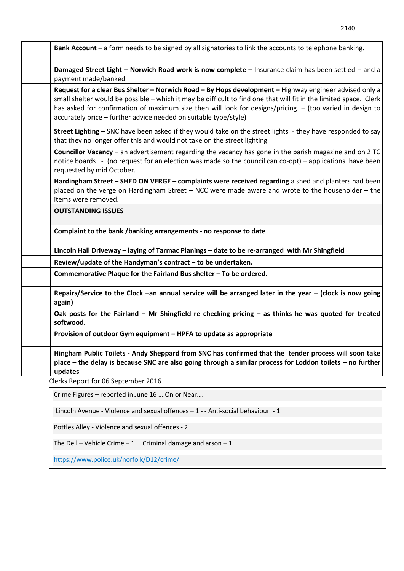| Bank Account - a form needs to be signed by all signatories to link the accounts to telephone banking.                                                                                                                                                                                                                                                                                                       |
|--------------------------------------------------------------------------------------------------------------------------------------------------------------------------------------------------------------------------------------------------------------------------------------------------------------------------------------------------------------------------------------------------------------|
| Damaged Street Light - Norwich Road work is now complete - Insurance claim has been settled - and a<br>payment made/banked                                                                                                                                                                                                                                                                                   |
| Request for a clear Bus Shelter - Norwich Road - By Hops development - Highway engineer advised only a<br>small shelter would be possible - which it may be difficult to find one that will fit in the limited space. Clerk<br>has asked for confirmation of maximum size then will look for designs/pricing. - (too varied in design to<br>accurately price - further advice needed on suitable type/style) |
| Street Lighting - SNC have been asked if they would take on the street lights - they have responded to say<br>that they no longer offer this and would not take on the street lighting                                                                                                                                                                                                                       |
| <b>Councillor Vacancy</b> - an advertisement regarding the vacancy has gone in the parish magazine and on 2 TC<br>notice boards - (no request for an election was made so the council can co-opt) – applications have been<br>requested by mid October.                                                                                                                                                      |
| Hardingham Street - SHED ON VERGE - complaints were received regarding a shed and planters had been<br>placed on the verge on Hardingham Street - NCC were made aware and wrote to the householder - the<br>items were removed.                                                                                                                                                                              |
| <b>OUTSTANDING ISSUES</b>                                                                                                                                                                                                                                                                                                                                                                                    |
| Complaint to the bank /banking arrangements - no response to date                                                                                                                                                                                                                                                                                                                                            |
| Lincoln Hall Driveway - laying of Tarmac Planings - date to be re-arranged with Mr Shingfield                                                                                                                                                                                                                                                                                                                |
| Review/update of the Handyman's contract - to be undertaken.                                                                                                                                                                                                                                                                                                                                                 |
| Commemorative Plaque for the Fairland Bus shelter - To be ordered.                                                                                                                                                                                                                                                                                                                                           |
| Repairs/Service to the Clock -an annual service will be arranged later in the year $-$ (clock is now going<br>again)                                                                                                                                                                                                                                                                                         |
| Oak posts for the Fairland - Mr Shingfield re checking pricing - as thinks he was quoted for treated<br>softwood.                                                                                                                                                                                                                                                                                            |
| Provision of outdoor Gym equipment - HPFA to update as appropriate                                                                                                                                                                                                                                                                                                                                           |
| Hingham Public Toilets - Andy Sheppard from SNC has confirmed that the tender process will soon take<br>place – the delay is because SNC are also going through a similar process for Loddon toilets – no further<br>updates                                                                                                                                                                                 |
| Clerks Report for 06 September 2016                                                                                                                                                                                                                                                                                                                                                                          |
| Crime Figures - reported in June 16  On or Near                                                                                                                                                                                                                                                                                                                                                              |

Lincoln Avenue - Violence and sexual offences – 1 - - Anti-social behaviour - 1

Pottles Alley - Violence and sexual offences - 2

The Dell – Vehicle Crime – 1 Criminal damage and arson – 1.

subject is a current agenda item – or has been within the remit of a working party and or the Clerk party and or the Clerk party and or the Clerk party and or the Clerk party and or the Clerk party and or the Clerk party https://www.police.uk/norfolk/D12/crime/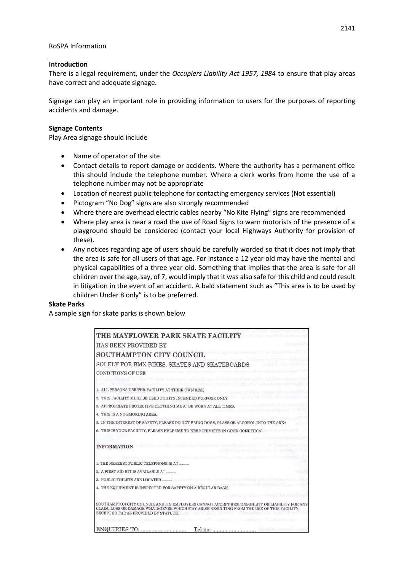#### **Introduction**

There is a legal requirement, under the *Occupiers Liability Act 1957, 1984* to ensure that play areas have correct and adequate signage.

Signage can play an important role in providing information to users for the purposes of reporting accidents and damage.

#### **Signage Contents**

Play Area signage should include

- Name of operator of the site
- Contact details to report damage or accidents. Where the authority has a permanent office this should include the telephone number. Where a clerk works from home the use of a telephone number may not be appropriate
- Location of nearest public telephone for contacting emergency services (Not essential)
- Pictogram "No Dog" signs are also strongly recommended
- Where there are overhead electric cables nearby "No Kite Flying" signs are recommended
- Where play area is near a road the use of Road Signs to warn motorists of the presence of a playground should be considered (contact your local Highways Authority for provision of these).
- Any notices regarding age of users should be carefully worded so that it does not imply that the area is safe for all users of that age. For instance a 12 year old may have the mental and physical capabilities of a three year old. Something that implies that the area is safe for all children over the age, say, of 7, would imply that it was also safe for this child and could result in litigation in the event of an accident. A bald statement such as "This area is to be used by children Under 8 only" is to be preferred.

#### **Skate Parks**

A sample sign for skate parks is shown below

| THE MAYFLOWER PARK SKATE FACILITY                                                                                                                                                                                                  |
|------------------------------------------------------------------------------------------------------------------------------------------------------------------------------------------------------------------------------------|
| <b>HAS BEEN PROVIDED BY</b>                                                                                                                                                                                                        |
| SOUTHAMPTON CITY COUNCIL International contract of the second of the second second of the second of the second of the $\mathcal{C}$                                                                                                |
| SOLELY FOR BMX BIKES, SKATES AND SKATEBOARDS                                                                                                                                                                                       |
| thermed teaching in which has found it will amount<br><b>CONDITIONS OF USE</b>                                                                                                                                                     |
| tings at the third of data construction of redication of facts construction to be described by a<br>With Smart M. G.R. Based to lot abbasema, extraorment                                                                          |
| 1. ALL PERSONS USE THE FACILITY AT THEIR OWN RISK<br>basein of finds tenumerations for the                                                                                                                                         |
| 2. THIS FACILITY MUST BE USED FOR ITS INTENDED PURPOSE ONLY.                                                                                                                                                                       |
| 3. APPROPRIATE PROTECTIVE CLOTHING MUST BE WORN AT ALL TIMES.                                                                                                                                                                      |
| 4. THIS IS A NO SMOKING AREA.                                                                                                                                                                                                      |
| 5. IN THE INTEREST OF SAFETY, PLEASE DO NOT BRING DOGS, GLASS OR ALCOHOL INTO THE AREA.                                                                                                                                            |
| 6. THIS IS YOUR FACILITY, PLEASE HELP USE TO KEEP THIS SITE IN GOOD CONDITION.                                                                                                                                                     |
|                                                                                                                                                                                                                                    |
| s sensistes on each an inque thavairs wit mort bann to selfnes action<br><b>INFORMATION</b><br>of fact to image agent of a conserve                                                                                                |
| a surran doders sin my en a mixidis areal hand a credes                                                                                                                                                                            |
| 1. THE NEAREST PUBLIC TELEPHONE IS AT                                                                                                                                                                                              |
| 2. A FIRST AID KIT IS AVAILABLE AT                                                                                                                                                                                                 |
|                                                                                                                                                                                                                                    |
| 4. THE EQUIPMENT IS INSPECTED FOR SAFETY ON A REGULAR BASIS.                                                                                                                                                                       |
| KNAMA ETHOLIC CONTRACTOR ONE                                                                                                                                                                                                       |
| SOUTHAMPTON CITY COUNCIL AND ITS EMPLOYEES CANNOT ACCEPT RESPONSIBILITY OR LIABILITY FOR ANY<br>CLAIM, LOSS OR DAMAGE WHATSOEVER WHICH MAY ARISE RESULTING FROM THE USE OF THIS FACILITY,<br>EXCEPT SO FAR AS PROVIDED BY STATUTE. |
|                                                                                                                                                                                                                                    |